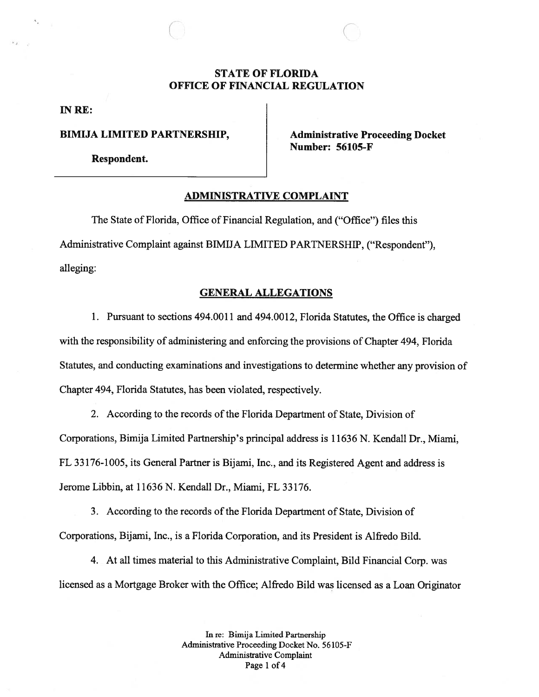# STATE OF FLORIDA OFFICE OF FINANCIAL REGULATION

IN RE:

BIMIJA LIMITED PARTNERSHIP, Administrative Proceeding Docket

 $\bigcirc$ 

Respondent.

Number: 56105-F

### ADMINISTRATIVE COMPLAINT

The State of Florida, Office of Financial Regulation, and ("Office") files this Administrative Complaint against BIMIJA LIMITED PARTNERSHIP, ("Respondent"), alleging:

### GENERAL ALLEGATIONS

1. Pursuant to sections 494.0011 and 494.0012, Florida Statutes, the Office is charged with the responsibility of administering and enforcing the provisions of Chapter 494, Florida Statutes, and conducting examinations and investigations to determine whether any provision of Chapter 494, Florida Statutes, has been violated, respectively.

2. According to the records of the Florida Department of State, Division of Corporations, Bimija Limited Partnership's principal address is 11636 N. Kendall Dr., Miami, FL 33176-1005, its General Partner is Bijami, Inc., and its Registered Agent and address is Jerome Libbin, at 11636 N. Kendall Dr., Miami, FL 33176.

3. According to the records of the Florida Department of State, Division of Corporations, Bijami, Inc., is <sup>a</sup> Florida Corporation, and its President is Aifredo Bild.

4. At all times material to this Administrative Complaint, Bud Financial Corp. was licensed as <sup>a</sup> Mortgage Broker with the Office; Alfredo Bild was licensed as <sup>a</sup> Loan Originator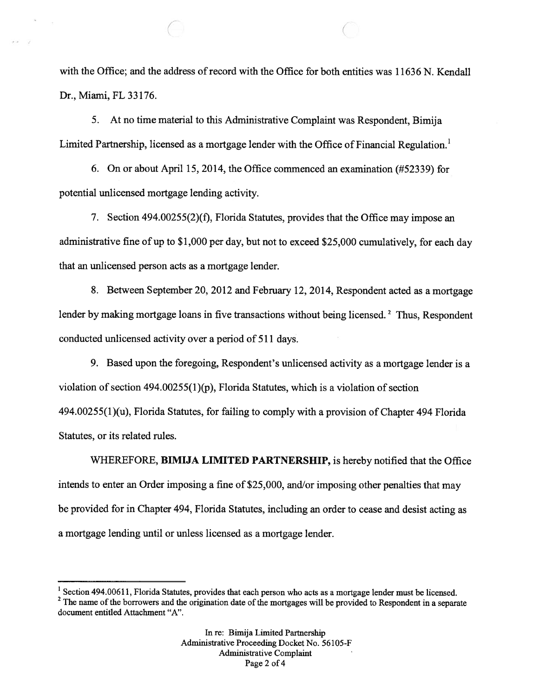with the Office; and the address of record with the Office for both entities was 11636 N. Kendall Dr., Miami, FL 33176.

 $\qquad \qquad \qquad \qquad \qquad \qquad \qquad \qquad \qquad \qquad \qquad$ 

5. At no time material to this Administrative Complaint was Respondent, Bimija Limited Partnership, licensed as <sup>a</sup> mortgage lender with the Office of Financial Regulation.'

6. On or about April 15, 2014, the Office commenced an examination (#52339) for potential unlicensed mortgage lending activity.

7. Section 494.00255(2)(f), Florida Statutes, provides that the Office may impose an administrative fine of up to \$1,000 per day, but not to exceed \$25,000 cumulatively, for each day that an unlicensed person acts as <sup>a</sup> mortgage lender.

8. Between September 20, 2012 and February 12, 2014, Respondent acted as <sup>a</sup> mortgage lender by making mortgage loans in five transactions without being licensed.<sup>2</sup> Thus, Respondent conducted unlicensed activity over <sup>a</sup> period of 511 days.

9. Based upon the foregoing, Respondent's unlicensed activity as <sup>a</sup> mortgage lender is <sup>a</sup> violation of section  $494.00255(1)(p)$ , Florida Statutes, which is a violation of section 494.00255(1)(u), Florida Statutes, for failing to comply with <sup>a</sup> provision of Chapter 494 Florida Statutes, or its related rules.

WHEREFORE, BIMIJA LIMITED PARTNERSHIP, is hereby notified that the Office intends to enter an Order imposing <sup>a</sup> fine of \$25,000, and/or imposing other penalties that may be provided for in Chapter 494, Florida Statutes, including an order to cease and desist acting as <sup>a</sup> mortgage lending until or unless licensed as <sup>a</sup> mortgage lender.

Page 2 of 4

<sup>&</sup>lt;sup>1</sup> Section 494.00611, Florida Statutes, provides that each person who acts as a mortgage lender must be licensed.

 $2$  The name of the borrowers and the origination date of the mortgages will be provided to Respondent in a separate document entitled Attachment "A".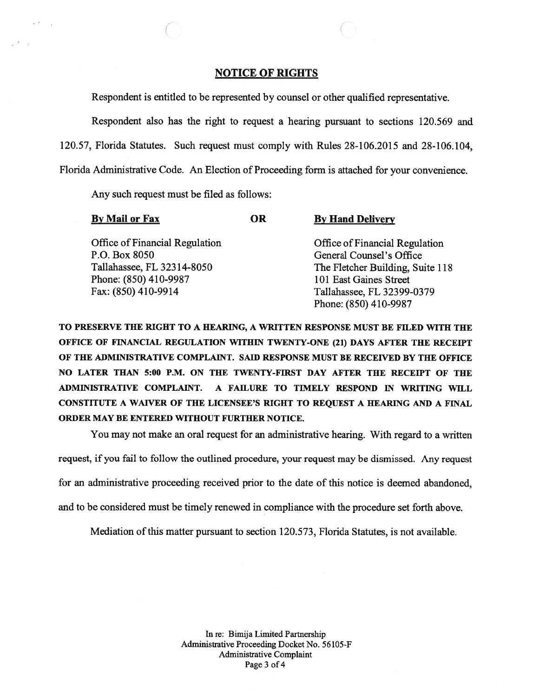### NOTICE OF RIGHTS

C

Respondent is entitled to be represented by counsel or other qualified representative.

Respondent also has the right to reques<sup>t</sup> <sup>a</sup> hearing pursuan<sup>t</sup> to sections 120.569 and 120.57, Florida Statutes. Such reques<sup>t</sup> must comply with Rules 28-106.2015 and 28-106.104, Florida Administrative Code. An Election of Proceeding form is attached for your convenience.

Any such reques<sup>t</sup> must be filed as follows:

| <b>By Mail or Fax</b>                 | <b>OR</b> | <b>By Hand Delivery</b>          |
|---------------------------------------|-----------|----------------------------------|
| <b>Office of Financial Regulation</b> |           | Office of Financial Regulation   |
| P.O. Box 8050                         |           | General Counsel's Office         |
| Tallahassee, FL 32314-8050            |           | The Fletcher Building, Suite 118 |
| Phone: (850) 410-9987                 |           | 101 East Gaines Street           |
| Fax: (850) 410-9914                   |           | Tallahassee, FL 32399-0379       |
|                                       |           | Phone: (850) 410-9987            |

TO PRESERVE THE RIGHT TO A HEARING, A WRITTEN RESPONSE MUST BE FILED WITH THE OFFICE OF FINANCIAL REGULATION WITHIN TWENTY-ONE (21) DAYS AFTER THE RECEIPT OF THE ADMINISTRATIVE COMPLAINT. SAID RESPONSE MUST BE RECEIVED BY THE OFFICE NO LATER THAN 5:00 P.M. ON THE TWENTY-FIRST DAY AFTER THE RECEIPT OF THE ADMINISTRATIVE COMPLAINT. A FAILURE TO TIMELY RESPOND IN WRITING WILL CONSTITUTE A WAIVER OF THE LICENSEE'S RIGHT TO REQUEST A HEARING AND A FINAL ORDER MAY BE ENTERED WITHOUT FURTHER NOTICE.

You may not make an oral reques<sup>t</sup> for an administrative hearing. With regard to <sup>a</sup> written

request, if you fail to follow the outlined procedure, your reques<sup>t</sup> may be dismissed. Any reques<sup>t</sup>

for an administrative proceeding received prior to the date of this notice is deemed abandoned,

and to be considered must be timely renewed in compliance with the procedure set forth above.

Mediation of this matter pursuant to section 120.573, Florida Statutes, is not available.

In re: Bimija Limited Partnership Administrative Proceeding Docket No. 56105-F Administrative Complaint Page 3 of 4